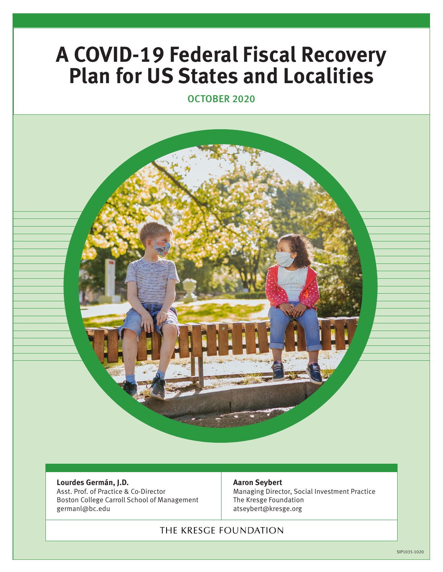# **A COVID-19 Federal Fiscal Recovery Plan for US States and Localities**

OCTOBER 2020



#### **Lourdes Germán, J.D.**

Asst. Prof. of Practice & Co-Director Boston College Carroll School of Management germanl@bc.edu

#### **Aaron Seybert**

Managing Director, Social Investment Practice The Kresge Foundation atseybert@kresge.org

## THE KRESGE FOUNDATION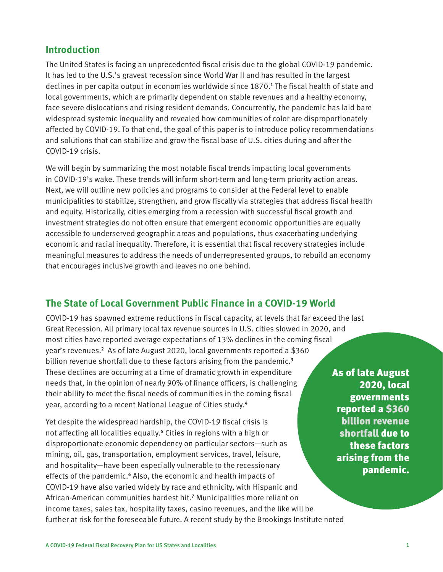## **Introduction**

The United States is facing an unprecedented fiscal crisis due to the global COVID-19 pandemic. It has led to the U.S.'s gravest recession since World War II and has resulted in the largest declines in per capita output in economies worldwide since 1870.**<sup>1</sup>** The fiscal health of state and local governments, which are primarily dependent on stable revenues and a healthy economy, face severe dislocations and rising resident demands. Concurrently, the pandemic has laid bare widespread systemic inequality and revealed how communities of color are disproportionately affected by COVID-19. To that end, the goal of this paper is to introduce policy recommendations and solutions that can stabilize and grow the fiscal base of U.S. cities during and after the COVID-19 crisis.

We will begin by summarizing the most notable fiscal trends impacting local governments in COVID-19's wake. These trends will inform short-term and long-term priority action areas. Next, we will outline new policies and programs to consider at the Federal level to enable municipalities to stabilize, strengthen, and grow fiscally via strategies that address fiscal health and equity. Historically, cities emerging from a recession with successful fiscal growth and investment strategies do not often ensure that emergent economic opportunities are equally accessible to underserved geographic areas and populations, thus exacerbating underlying economic and racial inequality. Therefore, it is essential that fiscal recovery strategies include meaningful measures to address the needs of underrepresented groups, to rebuild an economy that encourages inclusive growth and leaves no one behind.

## **The State of Local Government Public Finance in a COVID-19 World**

COVID-19 has spawned extreme reductions in fiscal capacity, at levels that far exceed the last Great Recession. All primary local tax revenue sources in U.S. cities slowed in 2020, and most cities have reported average expectations of 13% declines in the coming fiscal year's revenues.**<sup>2</sup>** As of late August 2020, local governments reported a \$360 billion revenue shortfall due to these factors arising from the pandemic.**<sup>3</sup>** These declines are occurring at a time of dramatic growth in expenditure needs that, in the opinion of nearly 90% of finance officers, is challenging their ability to meet the fiscal needs of communities in the coming fiscal year, according to a recent National League of Cities study.**<sup>4</sup>**

Yet despite the widespread hardship, the COVID-19 fiscal crisis is not affecting all localities equally.**<sup>5</sup>** Cities in regions with a high or disproportionate economic dependency on particular sectors—such as mining, oil, gas, transportation, employment services, travel, leisure, and hospitality—have been especially vulnerable to the recessionary effects of the pandemic.<sup>6</sup> Also, the economic and health impacts of COVID-19 have also varied widely by race and ethnicity, with Hispanic and African-American communities hardest hit.**<sup>7</sup>** Municipalities more reliant on income taxes, sales tax, hospitality taxes, casino revenues, and the like will be further at risk for the foreseeable future. A recent study by the Brookings Institute noted

As of late August 2020, local governments reported a \$360 billion revenue shortfall due to these factors arising from the pandemic.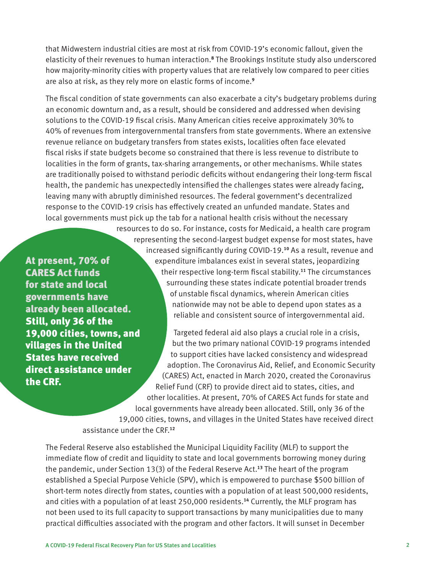that Midwestern industrial cities are most at risk from COVID-19's economic fallout, given the elasticity of their revenues to human interaction.**<sup>8</sup>** The Brookings Institute study also underscored how majority-minority cities with property values that are relatively low compared to peer cities are also at risk, as they rely more on elastic forms of income.**<sup>9</sup>**

The fiscal condition of state governments can also exacerbate a city's budgetary problems during an economic downturn and, as a result, should be considered and addressed when devising solutions to the COVID-19 fiscal crisis. Many American cities receive approximately 30% to 40% of revenues from intergovernmental transfers from state governments. Where an extensive revenue reliance on budgetary transfers from states exists, localities often face elevated fiscal risks if state budgets become so constrained that there is less revenue to distribute to localities in the form of grants, tax-sharing arrangements, or other mechanisms. While states are traditionally poised to withstand periodic deficits without endangering their long-term fiscal health, the pandemic has unexpectedly intensified the challenges states were already facing, leaving many with abruptly diminished resources. The federal government's decentralized response to the COVID-19 crisis has effectively created an unfunded mandate. States and local governments must pick up the tab for a national health crisis without the necessary

At present, 70% of CARES Act funds for state and local governments have already been allocated. Still, only 36 of the 19,000 cities, towns, and villages in the United States have received direct assistance under the CRF.

resources to do so. For instance, costs for Medicaid, a health care program representing the second-largest budget expense for most states, have increased significantly during COVID-19.**10** As a result, revenue and expenditure imbalances exist in several states, jeopardizing their respective long-term fiscal stability.**11** The circumstances surrounding these states indicate potential broader trends of unstable fiscal dynamics, wherein American cities nationwide may not be able to depend upon states as a reliable and consistent source of intergovernmental aid.

Targeted federal aid also plays a crucial role in a crisis, but the two primary national COVID-19 programs intended to support cities have lacked consistency and widespread adoption. The Coronavirus Aid, Relief, and Economic Security (CARES) Act, enacted in March 2020, created the Coronavirus Relief Fund (CRF) to provide direct aid to states, cities, and other localities. At present, 70% of CARES Act funds for state and local governments have already been allocated. Still, only 36 of the 19,000 cities, towns, and villages in the United States have received direct assistance under the CRF.**<sup>12</sup>**

The Federal Reserve also established the Municipal Liquidity Facility (MLF) to support the immediate flow of credit and liquidity to state and local governments borrowing money during the pandemic, under Section 13(3) of the Federal Reserve Act.**13** The heart of the program established a Special Purpose Vehicle (SPV), which is empowered to purchase \$500 billion of short-term notes directly from states, counties with a population of at least 500,000 residents, and cities with a population of at least 250,000 residents.**14** Currently, the MLF program has not been used to its full capacity to support transactions by many municipalities due to many practical difficulties associated with the program and other factors. It will sunset in December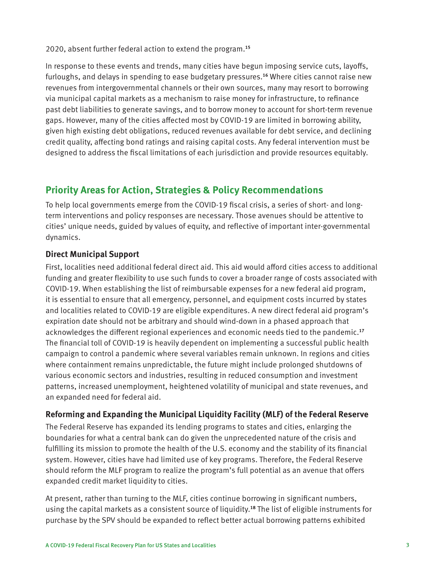2020, absent further federal action to extend the program.**<sup>15</sup>**

In response to these events and trends, many cities have begun imposing service cuts, layoffs, furloughs, and delays in spending to ease budgetary pressures.**16** Where cities cannot raise new revenues from intergovernmental channels or their own sources, many may resort to borrowing via municipal capital markets as a mechanism to raise money for infrastructure, to refinance past debt liabilities to generate savings, and to borrow money to account for short-term revenue gaps. However, many of the cities affected most by COVID-19 are limited in borrowing ability, given high existing debt obligations, reduced revenues available for debt service, and declining credit quality, affecting bond ratings and raising capital costs. Any federal intervention must be designed to address the fiscal limitations of each jurisdiction and provide resources equitably.

# **Priority Areas for Action, Strategies & Policy Recommendations**

To help local governments emerge from the COVID-19 fiscal crisis, a series of short- and longterm interventions and policy responses are necessary. Those avenues should be attentive to cities' unique needs, guided by values of equity, and reflective of important inter-governmental dynamics.

## **Direct Municipal Support**

First, localities need additional federal direct aid. This aid would afford cities access to additional funding and greater flexibility to use such funds to cover a broader range of costs associated with COVID-19. When establishing the list of reimbursable expenses for a new federal aid program, it is essential to ensure that all emergency, personnel, and equipment costs incurred by states and localities related to COVID-19 are eligible expenditures. A new direct federal aid program's expiration date should not be arbitrary and should wind-down in a phased approach that acknowledges the different regional experiences and economic needs tied to the pandemic.**<sup>17</sup>** The financial toll of COVID-19 is heavily dependent on implementing a successful public health campaign to control a pandemic where several variables remain unknown. In regions and cities where containment remains unpredictable, the future might include prolonged shutdowns of various economic sectors and industries, resulting in reduced consumption and investment patterns, increased unemployment, heightened volatility of municipal and state revenues, and an expanded need for federal aid.

## **Reforming and Expanding the Municipal Liquidity Facility (MLF) of the Federal Reserve**

The Federal Reserve has expanded its lending programs to states and cities, enlarging the boundaries for what a central bank can do given the unprecedented nature of the crisis and fulfilling its mission to promote the health of the U.S. economy and the stability of its financial system. However, cities have had limited use of key programs. Therefore, the Federal Reserve should reform the MLF program to realize the program's full potential as an avenue that offers expanded credit market liquidity to cities.

At present, rather than turning to the MLF, cities continue borrowing in significant numbers, using the capital markets as a consistent source of liquidity.**18** The list of eligible instruments for purchase by the SPV should be expanded to reflect better actual borrowing patterns exhibited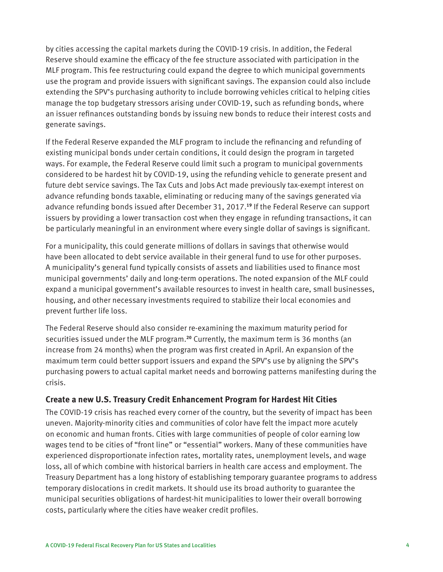by cities accessing the capital markets during the COVID-19 crisis. In addition, the Federal Reserve should examine the efficacy of the fee structure associated with participation in the MLF program. This fee restructuring could expand the degree to which municipal governments use the program and provide issuers with significant savings. The expansion could also include extending the SPV's purchasing authority to include borrowing vehicles critical to helping cities manage the top budgetary stressors arising under COVID-19, such as refunding bonds, where an issuer refinances outstanding bonds by issuing new bonds to reduce their interest costs and generate savings.

If the Federal Reserve expanded the MLF program to include the refinancing and refunding of existing municipal bonds under certain conditions, it could design the program in targeted ways. For example, the Federal Reserve could limit such a program to municipal governments considered to be hardest hit by COVID-19, using the refunding vehicle to generate present and future debt service savings. The Tax Cuts and Jobs Act made previously tax-exempt interest on advance refunding bonds taxable, eliminating or reducing many of the savings generated via advance refunding bonds issued after December 31, 2017.**19** If the Federal Reserve can support issuers by providing a lower transaction cost when they engage in refunding transactions, it can be particularly meaningful in an environment where every single dollar of savings is significant.

For a municipality, this could generate millions of dollars in savings that otherwise would have been allocated to debt service available in their general fund to use for other purposes. A municipality's general fund typically consists of assets and liabilities used to finance most municipal governments' daily and long-term operations. The noted expansion of the MLF could expand a municipal government's available resources to invest in health care, small businesses, housing, and other necessary investments required to stabilize their local economies and prevent further life loss.

The Federal Reserve should also consider re-examining the maximum maturity period for securities issued under the MLF program.**20** Currently, the maximum term is 36 months (an increase from 24 months) when the program was first created in April. An expansion of the maximum term could better support issuers and expand the SPV's use by aligning the SPV's purchasing powers to actual capital market needs and borrowing patterns manifesting during the crisis.

#### **Create a new U.S. Treasury Credit Enhancement Program for Hardest Hit Cities**

The COVID-19 crisis has reached every corner of the country, but the severity of impact has been uneven. Majority-minority cities and communities of color have felt the impact more acutely on economic and human fronts. Cities with large communities of people of color earning low wages tend to be cities of "front line" or "essential" workers. Many of these communities have experienced disproportionate infection rates, mortality rates, unemployment levels, and wage loss, all of which combine with historical barriers in health care access and employment. The Treasury Department has a long history of establishing temporary guarantee programs to address temporary dislocations in credit markets. It should use its broad authority to guarantee the municipal securities obligations of hardest-hit municipalities to lower their overall borrowing costs, particularly where the cities have weaker credit profiles.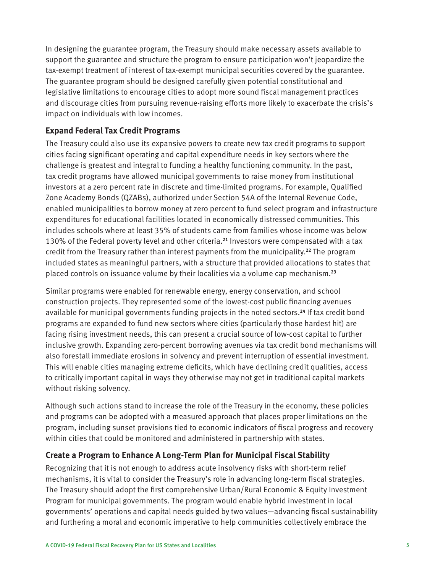In designing the guarantee program, the Treasury should make necessary assets available to support the guarantee and structure the program to ensure participation won't jeopardize the tax-exempt treatment of interest of tax-exempt municipal securities covered by the guarantee. The guarantee program should be designed carefully given potential constitutional and legislative limitations to encourage cities to adopt more sound fiscal management practices and discourage cities from pursuing revenue-raising efforts more likely to exacerbate the crisis's impact on individuals with low incomes.

### **Expand Federal Tax Credit Programs**

The Treasury could also use its expansive powers to create new tax credit programs to support cities facing significant operating and capital expenditure needs in key sectors where the challenge is greatest and integral to funding a healthy functioning community. In the past, tax credit programs have allowed municipal governments to raise money from institutional investors at a zero percent rate in discrete and time-limited programs. For example, Qualified Zone Academy Bonds (QZABs), authorized under Section 54A of the Internal Revenue Code, enabled municipalities to borrow money at zero percent to fund select program and infrastructure expenditures for educational facilities located in economically distressed communities. This includes schools where at least 35% of students came from families whose income was below 130% of the Federal poverty level and other criteria.**21** Investors were compensated with a tax credit from the Treasury rather than interest payments from the municipality.**22** The program included states as meaningful partners, with a structure that provided allocations to states that placed controls on issuance volume by their localities via a volume cap mechanism.**<sup>23</sup>**

Similar programs were enabled for renewable energy, energy conservation, and school construction projects. They represented some of the lowest-cost public financing avenues available for municipal governments funding projects in the noted sectors.**24** If tax credit bond programs are expanded to fund new sectors where cities (particularly those hardest hit) are facing rising investment needs, this can present a crucial source of low-cost capital to further inclusive growth. Expanding zero-percent borrowing avenues via tax credit bond mechanisms will also forestall immediate erosions in solvency and prevent interruption of essential investment. This will enable cities managing extreme deficits, which have declining credit qualities, access to critically important capital in ways they otherwise may not get in traditional capital markets without risking solvency.

Although such actions stand to increase the role of the Treasury in the economy, these policies and programs can be adopted with a measured approach that places proper limitations on the program, including sunset provisions tied to economic indicators of fiscal progress and recovery within cities that could be monitored and administered in partnership with states.

#### **Create a Program to Enhance A Long-Term Plan for Municipal Fiscal Stability**

Recognizing that it is not enough to address acute insolvency risks with short-term relief mechanisms, it is vital to consider the Treasury's role in advancing long-term fiscal strategies. The Treasury should adopt the first comprehensive Urban/Rural Economic & Equity Investment Program for municipal governments. The program would enable hybrid investment in local governments' operations and capital needs guided by two values—advancing fiscal sustainability and furthering a moral and economic imperative to help communities collectively embrace the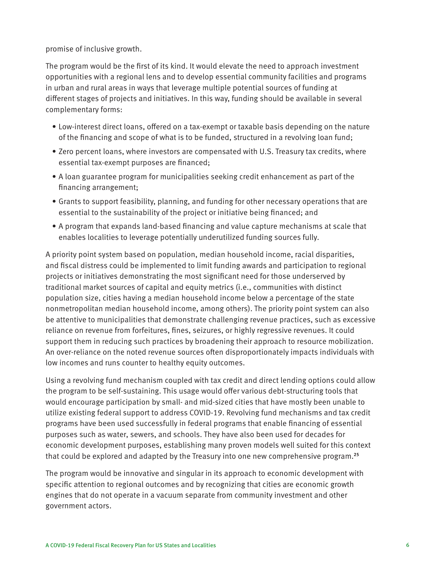promise of inclusive growth.

The program would be the first of its kind. It would elevate the need to approach investment opportunities with a regional lens and to develop essential community facilities and programs in urban and rural areas in ways that leverage multiple potential sources of funding at different stages of projects and initiatives. In this way, funding should be available in several complementary forms:

- Low-interest direct loans, offered on a tax-exempt or taxable basis depending on the nature of the financing and scope of what is to be funded, structured in a revolving loan fund;
- Zero percent loans, where investors are compensated with U.S. Treasury tax credits, where essential tax-exempt purposes are financed;
- A loan guarantee program for municipalities seeking credit enhancement as part of the financing arrangement;
- Grants to support feasibility, planning, and funding for other necessary operations that are essential to the sustainability of the project or initiative being financed; and
- A program that expands land-based financing and value capture mechanisms at scale that enables localities to leverage potentially underutilized funding sources fully.

A priority point system based on population, median household income, racial disparities, and fiscal distress could be implemented to limit funding awards and participation to regional projects or initiatives demonstrating the most significant need for those underserved by traditional market sources of capital and equity metrics (i.e., communities with distinct population size, cities having a median household income below a percentage of the state nonmetropolitan median household income, among others). The priority point system can also be attentive to municipalities that demonstrate challenging revenue practices, such as excessive reliance on revenue from forfeitures, fines, seizures, or highly regressive revenues. It could support them in reducing such practices by broadening their approach to resource mobilization. An over-reliance on the noted revenue sources often disproportionately impacts individuals with low incomes and runs counter to healthy equity outcomes.

Using a revolving fund mechanism coupled with tax credit and direct lending options could allow the program to be self-sustaining. This usage would offer various debt-structuring tools that would encourage participation by small- and mid-sized cities that have mostly been unable to utilize existing federal support to address COVID-19. Revolving fund mechanisms and tax credit programs have been used successfully in federal programs that enable financing of essential purposes such as water, sewers, and schools. They have also been used for decades for economic development purposes, establishing many proven models well suited for this context that could be explored and adapted by the Treasury into one new comprehensive program.**<sup>25</sup>**

The program would be innovative and singular in its approach to economic development with specific attention to regional outcomes and by recognizing that cities are economic growth engines that do not operate in a vacuum separate from community investment and other government actors.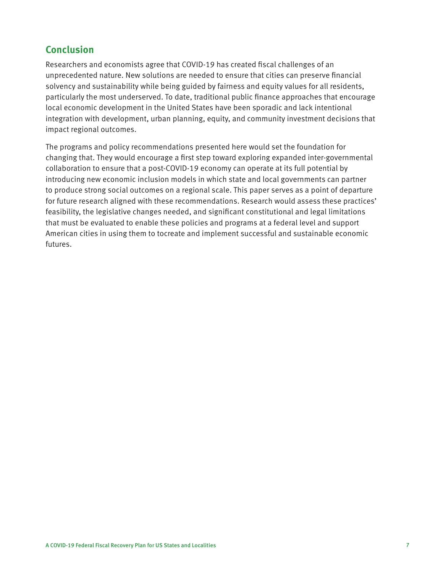# **Conclusion**

Researchers and economists agree that COVID-19 has created fiscal challenges of an unprecedented nature. New solutions are needed to ensure that cities can preserve financial solvency and sustainability while being guided by fairness and equity values for all residents, particularly the most underserved. To date, traditional public finance approaches that encourage local economic development in the United States have been sporadic and lack intentional integration with development, urban planning, equity, and community investment decisions that impact regional outcomes.

The programs and policy recommendations presented here would set the foundation for changing that. They would encourage a first step toward exploring expanded inter-governmental collaboration to ensure that a post-COVID-19 economy can operate at its full potential by introducing new economic inclusion models in which state and local governments can partner to produce strong social outcomes on a regional scale. This paper serves as a point of departure for future research aligned with these recommendations. Research would assess these practices' feasibility, the legislative changes needed, and significant constitutional and legal limitations that must be evaluated to enable these policies and programs at a federal level and support American cities in using them to tocreate and implement successful and sustainable economic futures.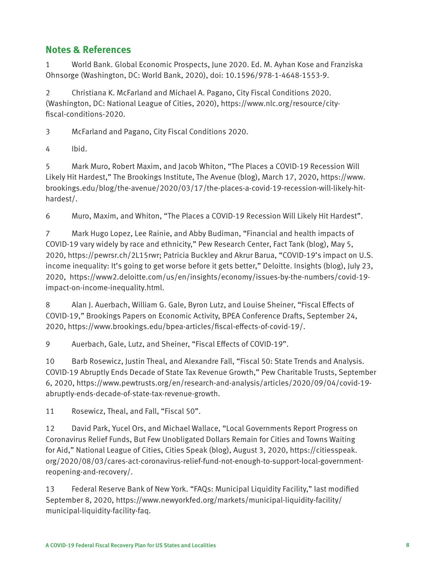# **Notes & References**

1 World Bank. Global Economic Prospects, June 2020. Ed. M. Ayhan Kose and Franziska Ohnsorge (Washington, DC: World Bank, 2020), doi: 10.1596/978-1-4648-1553-9.

2 Christiana K. McFarland and Michael A. Pagano, City Fiscal Conditions 2020. (Washington, DC: National League of Cities, 2020), https://www.nlc.org/resource/cityfiscal-conditions-2020.

3 McFarland and Pagano, City Fiscal Conditions 2020.

4 Ibid.

5 Mark Muro, Robert Maxim, and Jacob Whiton, "The Places a COVID-19 Recession Will Likely Hit Hardest," The Brookings Institute, The Avenue (blog), March 17, 2020, https://www. brookings.edu/blog/the-avenue/2020/03/17/the-places-a-covid-19-recession-will-likely-hithardest/.

6 Muro, Maxim, and Whiton, "The Places a COVID-19 Recession Will Likely Hit Hardest".

7 Mark Hugo Lopez, Lee Rainie, and Abby Budiman, "Financial and health impacts of COVID-19 vary widely by race and ethnicity," Pew Research Center, Fact Tank (blog), May 5, 2020, https://pewrsr.ch/2L15rwr; Patricia Buckley and Akrur Barua, "COVID-19's impact on U.S. income inequality: It's going to get worse before it gets better," Deloitte. Insights (blog), July 23, 2020, https://www2.deloitte.com/us/en/insights/economy/issues-by-the-numbers/covid-19 impact-on-income-inequality.html.

8 Alan J. Auerbach, William G. Gale, Byron Lutz, and Louise Sheiner, "Fiscal Effects of COVID-19," Brookings Papers on Economic Activity, BPEA Conference Drafts, September 24, 2020, https://www.brookings.edu/bpea-articles/fiscal-effects-of-covid-19/.

9 Auerbach, Gale, Lutz, and Sheiner, "Fiscal Effects of COVID-19".

10 Barb Rosewicz, Justin Theal, and Alexandre Fall, "Fiscal 50: State Trends and Analysis. COVID-19 Abruptly Ends Decade of State Tax Revenue Growth," Pew Charitable Trusts, September 6, 2020, https://www.pewtrusts.org/en/research-and-analysis/articles/2020/09/04/covid-19 abruptly-ends-decade-of-state-tax-revenue-growth.

11 Rosewicz, Theal, and Fall, "Fiscal 50".

12 David Park, Yucel Ors, and Michael Wallace, "Local Governments Report Progress on Coronavirus Relief Funds, But Few Unobligated Dollars Remain for Cities and Towns Waiting for Aid," National League of Cities, Cities Speak (blog), August 3, 2020, https://citiesspeak. org/2020/08/03/cares-act-coronavirus-relief-fund-not-enough-to-support-local-governmentreopening-and-recovery/.

13 Federal Reserve Bank of New York. "FAQs: Municipal Liquidity Facility," last modified September 8, 2020, https://www.newyorkfed.org/markets/municipal-liquidity-facility/ municipal-liquidity-facility-faq.